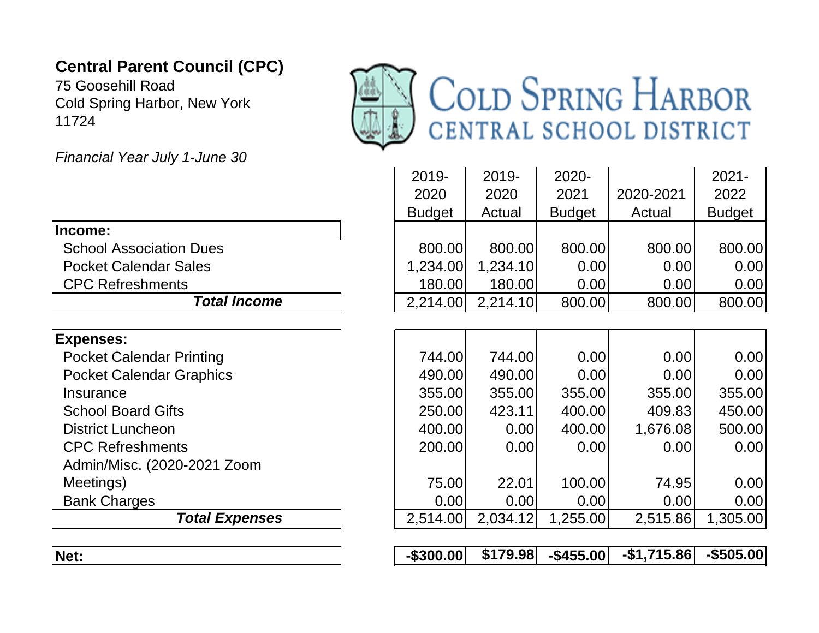## **Central Parent Council (CPC)**

75 Goosehill Road Cold Spring Harbor, New York 11724



*Financial Year July 1-June 30*

| <b>Total Expenses</b>           | 2,514.00              | 2,034.12       | 1,255.00              | 2,515.86            | 1,305.00              |
|---------------------------------|-----------------------|----------------|-----------------------|---------------------|-----------------------|
| <b>Bank Charges</b>             | 0.00                  | 0.00           | 0.00                  | 0.00                | 0.00                  |
| Meetings)                       | 75.00                 | 22.01          | 100.00                | 74.95               | 0.00                  |
| Admin/Misc. (2020-2021 Zoom     |                       |                |                       |                     |                       |
| <b>CPC Refreshments</b>         | 200.00                | 0.00           | 0.00                  | 0.00                | 0.00                  |
| <b>District Luncheon</b>        | 400.00                | 0.00           | 400.00                | 1,676.08            | 500.00                |
| <b>School Board Gifts</b>       | 250.00                | 423.11         | 400.00                | 409.83              | 450.00                |
| Insurance                       | 355.00                | 355.00         | 355.00                | 355.00              | 355.00                |
| <b>Pocket Calendar Graphics</b> | 490.00                | 490.00         | 0.00                  | 0.00                | 0.00                  |
| <b>Pocket Calendar Printing</b> | 744.00                | 744.00         | 0.00                  | 0.00                | 0.00                  |
| <b>Expenses:</b>                |                       |                |                       |                     |                       |
|                                 |                       |                |                       |                     |                       |
| <b>Total Income</b>             | 2,214.00              | 2,214.10       | 800.00                | 800.00              | 800.00                |
| <b>CPC Refreshments</b>         | 180.00                | 180.00         | 0.00                  | 0.00                | 0.00                  |
| <b>Pocket Calendar Sales</b>    | 1,234.00              | 1,234.10       | 0.00                  | 0.00                | 0.00                  |
| <b>School Association Dues</b>  | 800.00                | 800.00         | 800.00                | 800.00              | 800.00                |
| Income:                         |                       |                |                       |                     |                       |
|                                 | 2020<br><b>Budget</b> | 2020<br>Actual | 2021<br><b>Budget</b> | 2020-2021<br>Actual | 2022<br><b>Budget</b> |
|                                 | 2019-                 | 2019-          | 2020-                 |                     | $2021 -$              |
|                                 |                       |                |                       |                     |                       |